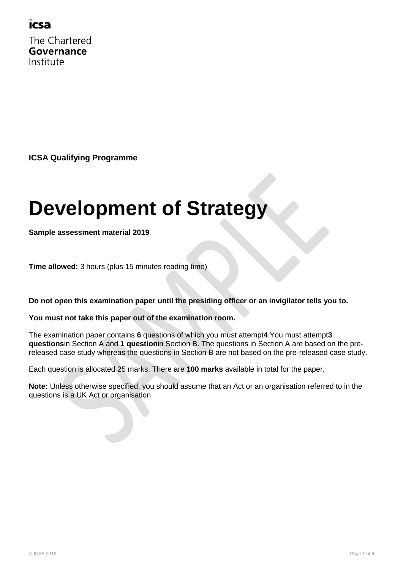### icsa

The Chartered Governance Institute

**ICSA Qualifying Programme**

# **Development of Strategy**

**Sample assessment material 2019**

**Time allowed:** 3 hours (plus 15 minutes reading time)

**Do not open this examination paper until the presiding officer or an invigilator tells you to.**

#### **You must not take this paper out of the examination room.**

The examination paper contains **6** questions of which you must attempt**4**.You must attempt**3 questions**in Section A and **1 question**in Section B. The questions in Section A are based on the prereleased case study whereas the questions in Section B are not based on the pre-released case study.

Each question is allocated 25 marks. There are **100 marks** available in total for the paper.

**Note:** Unless otherwise specified, you should assume that an Act or an organisation referred to in the questions is a UK Act or organisation.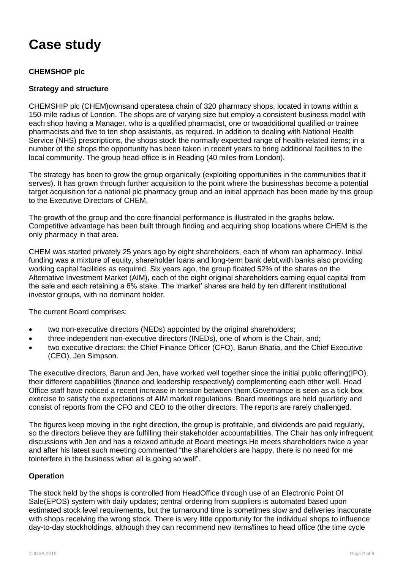## **Case study**

#### **CHEMSHOP plc**

#### **Strategy and structure**

CHEMSHIP plc (CHEM)ownsand operatesa chain of 320 pharmacy shops, located in towns within a 150-mile radius of London. The shops are of varying size but employ a consistent business model with each shop having a Manager, who is a qualified pharmacist, one or twoadditional qualified or trainee pharmacists and five to ten shop assistants, as required. In addition to dealing with National Health Service (NHS) prescriptions, the shops stock the normally expected range of health-related items; in a number of the shops the opportunity has been taken in recent years to bring additional facilities to the local community. The group head-office is in Reading (40 miles from London).

The strategy has been to grow the group organically (exploiting opportunities in the communities that it serves). It has grown through further acquisition to the point where the businesshas become a potential target acquisition for a national plc pharmacy group and an initial approach has been made by this group to the Executive Directors of CHEM.

The growth of the group and the core financial performance is illustrated in the graphs below. Competitive advantage has been built through finding and acquiring shop locations where CHEM is the only pharmacy in that area.

CHEM was started privately 25 years ago by eight shareholders, each of whom ran apharmacy. Initial funding was a mixture of equity, shareholder loans and long-term bank debt,with banks also providing working capital facilities as required. Six years ago, the group floated 52% of the shares on the Alternative Investment Market (AIM), each of the eight original shareholders earning equal capital from the sale and each retaining a 6% stake. The "market" shares are held by ten different institutional investor groups, with no dominant holder.

The current Board comprises:

- two non-executive directors (NEDs) appointed by the original shareholders;
- three independent non-executive directors (INEDs), one of whom is the Chair, and;
- two executive directors: the Chief Finance Officer (CFO), Barun Bhatia, and the Chief Executive (CEO), Jen Simpson.

The executive directors, Barun and Jen, have worked well together since the initial public offering(IPO), their different capabilities (finance and leadership respectively) complementing each other well. Head Office staff have noticed a recent increase in tension between them.Governance is seen as a tick-box exercise to satisfy the expectations of AIM market regulations. Board meetings are held quarterly and consist of reports from the CFO and CEO to the other directors. The reports are rarely challenged.

The figures keep moving in the right direction, the group is profitable, and dividends are paid regularly, so the directors believe they are fulfilling their stakeholder accountabilities. The Chair has only infrequent discussions with Jen and has a relaxed attitude at Board meetings.He meets shareholders twice a year and after his latest such meeting commented "the shareholders are happy, there is no need for me tointerfere in the business when all is going so well".

#### **Operation**

The stock held by the shops is controlled from HeadOffice through use of an Electronic Point Of Sale(EPOS) system with daily updates; central ordering from suppliers is automated based upon estimated stock level requirements, but the turnaround time is sometimes slow and deliveries inaccurate with shops receiving the wrong stock. There is very little opportunity for the individual shops to influence day-to-day stockholdings, although they can recommend new items/lines to head office (the time cycle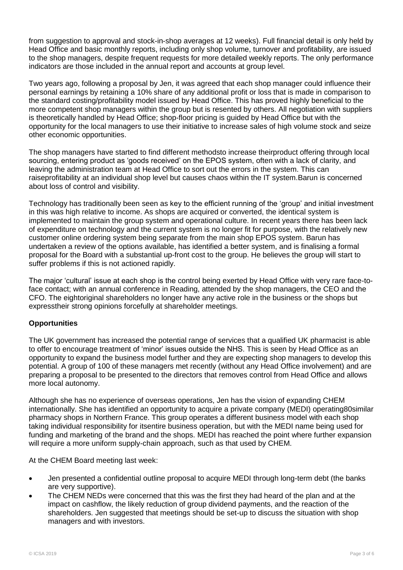from suggestion to approval and stock-in-shop averages at 12 weeks). Full financial detail is only held by Head Office and basic monthly reports, including only shop volume, turnover and profitability, are issued to the shop managers, despite frequent requests for more detailed weekly reports. The only performance indicators are those included in the annual report and accounts at group level.

Two years ago, following a proposal by Jen, it was agreed that each shop manager could influence their personal earnings by retaining a 10% share of any additional profit or loss that is made in comparison to the standard costing/profitability model issued by Head Office. This has proved highly beneficial to the more competent shop managers within the group but is resented by others. All negotiation with suppliers is theoretically handled by Head Office; shop-floor pricing is guided by Head Office but with the opportunity for the local managers to use their initiative to increase sales of high volume stock and seize other economic opportunities.

The shop managers have started to find different methodsto increase theirproduct offering through local sourcing, entering product as "goods received" on the EPOS system, often with a lack of clarity, and leaving the administration team at Head Office to sort out the errors in the system. This can raiseprofitability at an individual shop level but causes chaos within the IT system.Barun is concerned about loss of control and visibility.

Technology has traditionally been seen as key to the efficient running of the "group" and initial investment in this was high relative to income. As shops are acquired or converted, the identical system is implemented to maintain the group system and operational culture. In recent years there has been lack of expenditure on technology and the current system is no longer fit for purpose, with the relatively new customer online ordering system being separate from the main shop EPOS system. Barun has undertaken a review of the options available, has identified a better system, and is finalising a formal proposal for the Board with a substantial up-front cost to the group. He believes the group will start to suffer problems if this is not actioned rapidly.

The major "cultural" issue at each shop is the control being exerted by Head Office with very rare face-toface contact; with an annual conference in Reading, attended by the shop managers, the CEO and the CFO. The eightoriginal shareholders no longer have any active role in the business or the shops but expresstheir strong opinions forcefully at shareholder meetings.

#### **Opportunities**

The UK government has increased the potential range of services that a qualified UK pharmacist is able to offer to encourage treatment of "minor" issues outside the NHS. This is seen by Head Office as an opportunity to expand the business model further and they are expecting shop managers to develop this potential. A group of 100 of these managers met recently (without any Head Office involvement) and are preparing a proposal to be presented to the directors that removes control from Head Office and allows more local autonomy.

Although she has no experience of overseas operations, Jen has the vision of expanding CHEM internationally. She has identified an opportunity to acquire a private company (MEDI) operating80similar pharmacy shops in Northern France. This group operates a different business model with each shop taking individual responsibility for itsentire business operation, but with the MEDI name being used for funding and marketing of the brand and the shops. MEDI has reached the point where further expansion will require a more uniform supply-chain approach, such as that used by CHEM.

At the CHEM Board meeting last week:

- Jen presented a confidential outline proposal to acquire MEDI through long-term debt (the banks are very supportive).
- The CHEM NEDs were concerned that this was the first they had heard of the plan and at the impact on cashflow, the likely reduction of group dividend payments, and the reaction of the shareholders. Jen suggested that meetings should be set-up to discuss the situation with shop managers and with investors.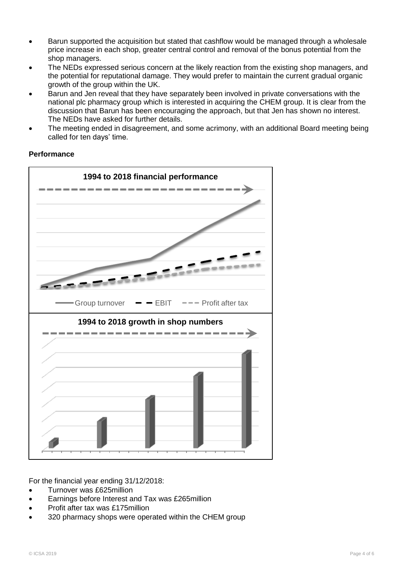- Barun supported the acquisition but stated that cashflow would be managed through a wholesale price increase in each shop, greater central control and removal of the bonus potential from the shop managers.
- The NEDs expressed serious concern at the likely reaction from the existing shop managers, and the potential for reputational damage. They would prefer to maintain the current gradual organic growth of the group within the UK.
- Barun and Jen reveal that they have separately been involved in private conversations with the national plc pharmacy group which is interested in acquiring the CHEM group. It is clear from the discussion that Barun has been encouraging the approach, but that Jen has shown no interest. The NEDs have asked for further details.
- The meeting ended in disagreement, and some acrimony, with an additional Board meeting being called for ten days" time.



#### **Performance**

For the financial year ending 31/12/2018:

- Turnover was £625million
- Earnings before Interest and Tax was £265million
- Profit after tax was £175million
- 320 pharmacy shops were operated within the CHEM group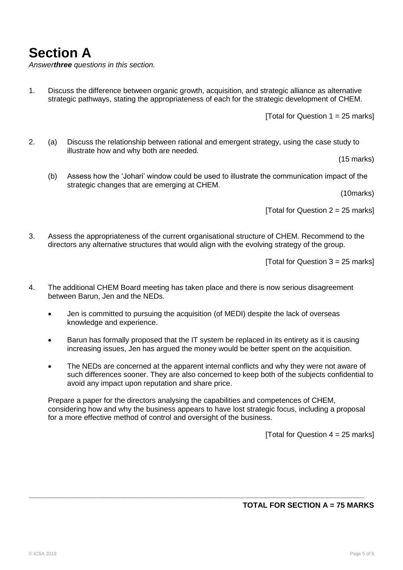**Section A**

*Answerthree questions in this section.*

1. Discuss the difference between organic growth, acquisition, and strategic alliance as alternative strategic pathways, stating the appropriateness of each for the strategic development of CHEM.

[Total for Question  $1 = 25$  marks]

2. (a) Discuss the relationship between rational and emergent strategy, using the case study to illustrate how and why both are needed.

(15 marks)

(b) Assess how the "Johari" window could be used to illustrate the communication impact of the strategic changes that are emerging at CHEM.

(10marks)

[Total for Question  $2 = 25$  marks]

3. Assess the appropriateness of the current organisational structure of CHEM. Recommend to the directors any alternative structures that would align with the evolving strategy of the group.

[Total for Question  $3 = 25$  marks]

- 4. The additional CHEM Board meeting has taken place and there is now serious disagreement between Barun, Jen and the NEDs.
	- Jen is committed to pursuing the acquisition (of MEDI) despite the lack of overseas knowledge and experience.
	- Barun has formally proposed that the IT system be replaced in its entirety as it is causing increasing issues, Jen has argued the money would be better spent on the acquisition.
	- The NEDs are concerned at the apparent internal conflicts and why they were not aware of such differences sooner. They are also concerned to keep both of the subjects confidential to avoid any impact upon reputation and share price.

Prepare a paper for the directors analysing the capabilities and competences of CHEM, considering how and why the business appears to have lost strategic focus, including a proposal for a more effective method of control and oversight of the business.

**\_\_\_\_\_\_\_\_\_\_\_\_\_\_\_\_\_\_\_\_\_\_\_\_\_\_\_\_\_\_\_\_\_\_\_\_\_\_\_\_\_\_\_\_\_\_\_\_\_\_\_\_\_\_\_\_\_\_\_\_\_\_\_\_\_\_\_\_\_\_\_\_\_\_\_\_\_\_\_\_\_**

[Total for Question  $4 = 25$  marks]

#### **TOTAL FOR SECTION A = 75 MARKS**